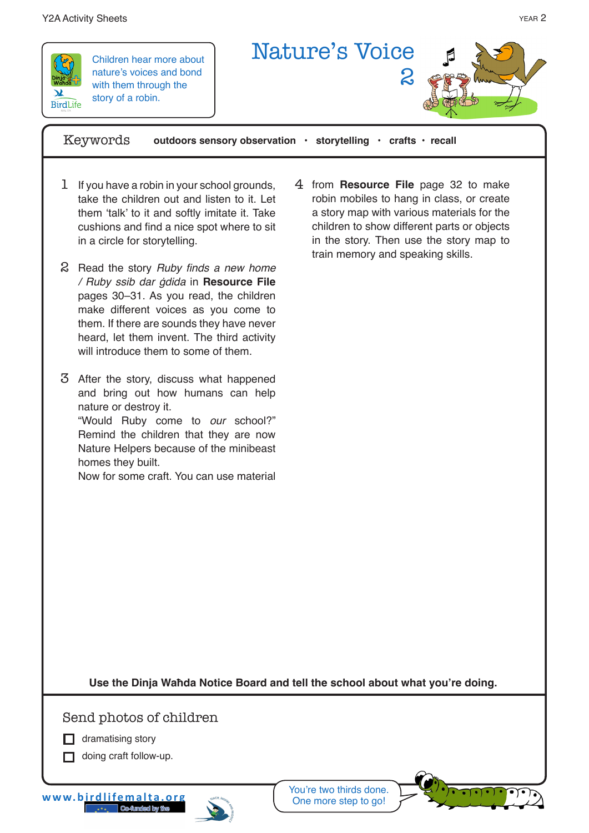## Y2A Activity Sheets year 2008 and the state of the state of the state of the state of the state of the state of the state of the state of the state of the state of the state of the state of the state of the state of the st



Children hear more about nature's voices and bond with them through the story of a robin.



Keywords **outdoors sensory observation • storytelling • crafts • recall**

- 1 If you have a robin in your school grounds, take the children out and listen to it. Let them 'talk' to it and softly imitate it. Take cushions and find a nice spot where to sit in a circle for storytelling.
- 2 Read the story Ruby finds a new home */* Ruby ssib dar ġdida in **Resource File**  pages 30–31. As you read, the children make different voices as you come to them. If there are sounds they have never heard, let them invent. The third activity will introduce them to some of them.
- After the story, discuss what happened 3 and bring out how humans can help nature or destroy it. "Would Ruby come to *our* school?"

Remind the children that they are now Nature Helpers because of the minibeast homes they built.

Now for some craft. You can use material

from **Resource File** page 32 to make 4 robin mobiles to hang in class, or create a story map with various materials for the children to show different parts or objects in the story. Then use the story map to train memory and speaking skills.

**Use the Dinja Waħda Notice Board and tell the school about what you're doing.** 

Send photos of children

 $\Box$  dramatising story

 $\Box$  doing craft follow-up.

**www.birdlifemalta.org**